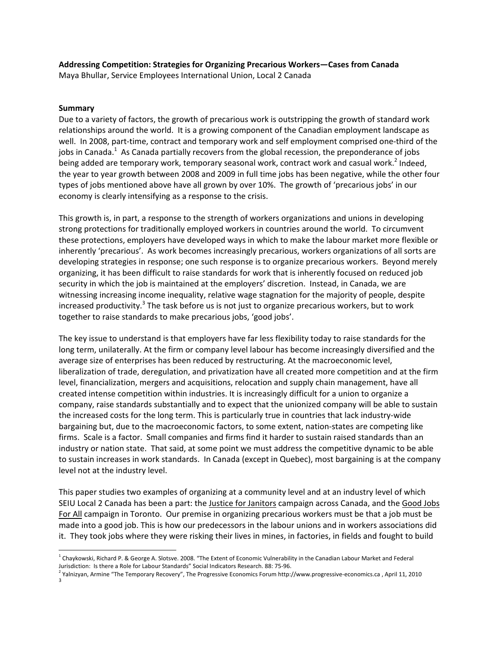# **Addressing Competition: Strategies for Organizing Precarious Workers—Cases from Canada**

Maya Bhullar, Service Employees International Union, Local 2 Canada

#### **Summary**

Due to a variety of factors, the growth of precarious work is outstripping the growth of standard work relationships around the world. It is a growing component of the Canadian employment landscape as well. In 2008, part-time, contract and temporary work and self employment comprised one-third of the jobs in Canada.<sup>1</sup> As Canada partially recovers from the global recession, the preponderance of jobs being added are temporary work, temporary seasonal work, contract work and casual work.<sup>2</sup> Indeed, the year to year growth between 2008 and 2009 in full time jobs has been negative, while the other four types of jobs mentioned above have all grown by over 10%. The growth of 'precarious jobs' in our economy is clearly intensifying as a response to the crisis.

This growth is, in part, a response to the strength of workers organizations and unions in developing strong protections for traditionally employed workers in countries around the world. To circumvent these protections, employers have developed ways in which to make the labour market more flexible or inherently 'precarious'. As work becomes increasingly precarious, workers organizations of all sorts are developing strategies in response; one such response is to organize precarious workers. Beyond merely organizing, it has been difficult to raise standards for work that is inherently focused on reduced job security in which the job is maintained at the employers' discretion. Instead, in Canada, we are witnessing increasing income inequality, relative wage stagnation for the majority of people, despite increased productivity.<sup>3</sup> The task before us is not just to organize precarious workers, but to work together to raise standards to make precarious jobs, 'good jobs'.

The key issue to understand is that employers have far less flexibility today to raise standards for the long term, unilaterally. At the firm or company level labour has become increasingly diversified and the average size of enterprises has been reduced by restructuring. At the macroeconomic level, liberalization of trade, deregulation, and privatization have all created more competition and at the firm level, financialization, mergers and acquisitions, relocation and supply chain management, have all created intense competition within industries. It is increasingly difficult for a union to organize a company, raise standards substantially and to expect that the unionized company will be able to sustain the increased costs for the long term. This is particularly true in countries that lack industry‐wide bargaining but, due to the macroeconomic factors, to some extent, nation‐states are competing like firms. Scale is a factor. Small companies and firms find it harder to sustain raised standards than an industry or nation state. That said, at some point we must address the competitive dynamic to be able to sustain increases in work standards. In Canada (except in Quebec), most bargaining is at the company level not at the industry level.

This paper studies two examples of organizing at a community level and at an industry level of which SEIU Local 2 Canada has been a part: the Justice for Janitors campaign across Canada, and the Good Jobs For All campaign in Toronto. Our premise in organizing precarious workers must be that a job must be made into a good job. This is how our predecessors in the labour unions and in workers associations did it. They took jobs where they were risking their lives in mines, in factories, in fields and fought to build

<sup>&</sup>lt;sup>1</sup> Chaykowski, Richard P. & George A. Slotsve. 2008. "The Extent of Economic Vulnerability in the Canadian Labour Market and Federal Jurisdiction: Is there a Role for Labour Standards" Social Indicators Research. 88: 75‐96.

<sup>2</sup> Yalnizyan, Armine "The Temporary Recovery", The Progressive Economics Forum http://www.progressive‐economics.ca , April 11, <sup>2010</sup> <sup>3</sup>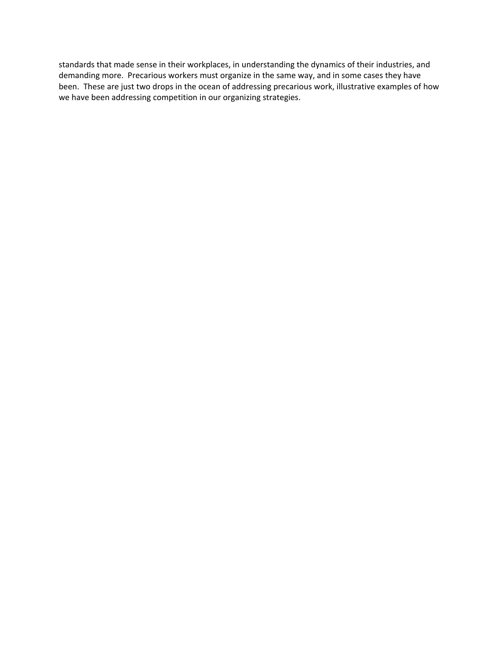standards that made sense in their workplaces, in understanding the dynamics of their industries, and demanding more. Precarious workers must organize in the same way, and in some cases they have been. These are just two drops in the ocean of addressing precarious work, illustrative examples of how we have been addressing competition in our organizing strategies.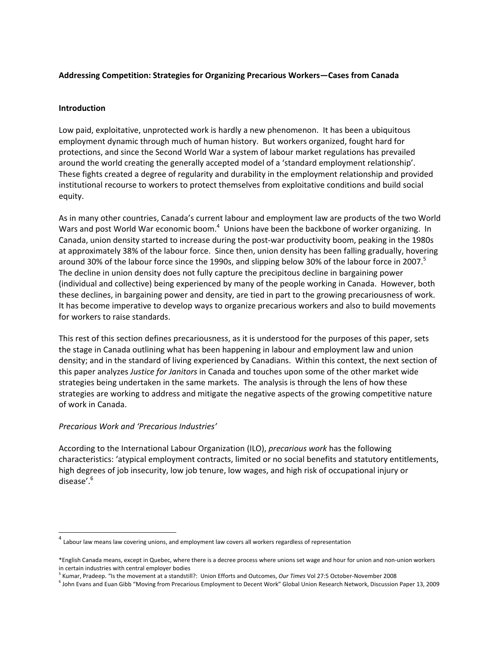## **Addressing Competition: Strategies for Organizing Precarious Workers—Cases from Canada**

#### **Introduction**

Low paid, exploitative, unprotected work is hardly a new phenomenon. It has been a ubiquitous employment dynamic through much of human history. But workers organized, fought hard for protections, and since the Second World War a system of labour market regulations has prevailed around the world creating the generally accepted model of a 'standard employment relationship'. These fights created a degree of regularity and durability in the employment relationship and provided institutional recourse to workers to protect themselves from exploitative conditions and build social equity.

As in many other countries, Canada's current labour and employment law are products of the two World Wars and post World War economic boom.<sup>4</sup> Unions have been the backbone of worker organizing. In Canada, union density started to increase during the post-war productivity boom, peaking in the 1980s at approximately 38% of the labour force. Since then, union density has been falling gradually, hovering around 30% of the labour force since the 1990s, and slipping below 30% of the labour force in 2007.<sup>5</sup> The decline in union density does not fully capture the precipitous decline in bargaining power (individual and collective) being experienced by many of the people working in Canada. However, both these declines, in bargaining power and density, are tied in part to the growing precariousness of work. It has become imperative to develop ways to organize precarious workers and also to build movements for workers to raise standards.

This rest of this section defines precariousness, as it is understood for the purposes of this paper, sets the stage in Canada outlining what has been happening in labour and employment law and union density; and in the standard of living experienced by Canadians. Within this context, the next section of this paper analyzes *Justice for Janitors* in Canada and touches upon some of the other market wide strategies being undertaken in the same markets. The analysis is through the lens of how these strategies are working to address and mitigate the negative aspects of the growing competitive nature of work in Canada.

## *Precarious Work and 'Precarious Industries'*

According to the International Labour Organization (ILO), *precarious work* has the following characteristics: 'atypical employment contracts, limited or no social benefits and statutory entitlements, high degrees of job insecurity, low job tenure, low wages, and high risk of occupational injury or disease'.<sup>6</sup>

 $<sup>4</sup>$  Labour law means law covering unions, and employment law covers all workers regardless of representation</sup>

<sup>\*</sup>English Canada means, except in Quebec, where there is a decree process where unions set wage and hour for union and non‐union workers in certain industries with central employer bodies **5 Kumar, Pradeep. 2016** Interants and Dutcomes, *Our Times* Vol 27:5 October-November 2008 5 Kumar, Pradeep. "Is the movement at a standstill?: Union Efforts and Outc

<sup>6</sup> John Evans and Euan Gibb "Moving from Precarious Employment to Decent Work" Global Union Research Network, Discussion Paper 13, 2009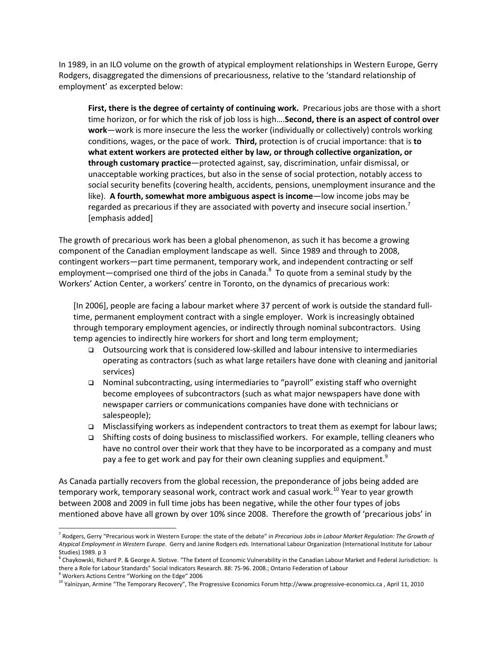In 1989, in an ILO volume on the growth of atypical employment relationships in Western Europe, Gerry Rodgers, disaggregated the dimensions of precariousness, relative to the 'standard relationship of employment' as excerpted below:

**First, there is the degree of certainty of continuing work.** Precarious jobs are those with a short time horizon, or for which the risk of job loss is high….**Second, there is an aspect of control over work**—work is more insecure the less the worker (individually or collectively) controls working conditions, wages, or the pace of work. **Third,** protection is of crucial importance: that is **to what extent workers are protected either by law, or through collective organization, or through customary practice**—protected against, say, discrimination, unfair dismissal, or unacceptable working practices, but also in the sense of social protection, notably access to social security benefits (covering health, accidents, pensions, unemployment insurance and the like). **A fourth, somewhat more ambiguous aspect is income**—low income jobs may be regarded as precarious if they are associated with poverty and insecure social insertion.<sup>7</sup> [emphasis added]

The growth of precarious work has been a global phenomenon, as such it has become a growing component of the Canadian employment landscape as well. Since 1989 and through to 2008, contingent workers—part time permanent, temporary work, and independent contracting or self employment—comprised one third of the jobs in Canada.<sup>8</sup> To quote from a seminal study by the Workers' Action Center, a workers' centre in Toronto, on the dynamics of precarious work:

[In 2006], people are facing a labour market where 37 percent of work is outside the standard full‐ time, permanent employment contract with a single employer. Work is increasingly obtained through temporary employment agencies, or indirectly through nominal subcontractors. Using temp agencies to indirectly hire workers for short and long term employment;

- Outsourcing work that is considered low‐skilled and labour intensive to intermediaries operating as contractors (such as what large retailers have done with cleaning and janitorial services)
- Nominal subcontracting, using intermediaries to "payroll" existing staff who overnight become employees of subcontractors (such as what major newspapers have done with newspaper carriers or communications companies have done with technicians or salespeople);
- Misclassifying workers as independent contractors to treat them as exempt for labour laws;
- Shifting costs of doing business to misclassified workers. For example, telling cleaners who have no control over their work that they have to be incorporated as a company and must pay a fee to get work and pay for their own cleaning supplies and equipment.<sup>9</sup>

As Canada partially recovers from the global recession, the preponderance of jobs being added are temporary work, temporary seasonal work, contract work and casual work.<sup>10</sup> Year to year growth between 2008 and 2009 in full time jobs has been negative, while the other four types of jobs mentioned above have all grown by over 10% since 2008. Therefore the growth of 'precarious jobs' in

<sup>7</sup> Rodgers, Gerry "Precarious work in Western Europe: the state of the debate" in *Precarious Jobs in Labour Market Regulation: The Growth of Atypical Employment in Western Europe.* Gerry and Janine Rodgers *eds.* International Labour Organization (International Institute for Labour Studies) 1989. p 3

 $8$  Chaykowski, Richard P. & George A. Slotsve. "The Extent of Economic Vulnerability in the Canadian Labour Market and Federal Jurisdiction: Is there a Role for Labour Standards" Social Indicators Research. 88: 75-96. 2008.; Ontario Federation of Labour<br><sup>9</sup> Workers Actions Centre "Working on the Edge" 2006

<sup>&</sup>lt;sup>10</sup> Yalnizyan, Armine "The Temporary Recovery", The Progressive Economics Forum http://www.progressive-economics.ca, April 11, 2010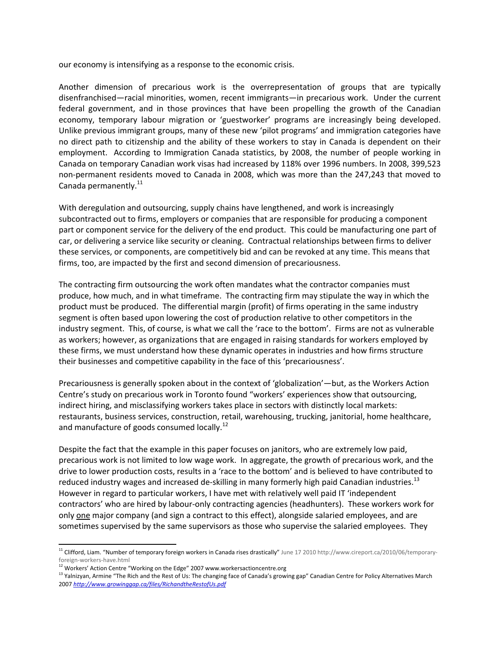our economy is intensifying as a response to the economic crisis.

Another dimension of precarious work is the overrepresentation of groups that are typically disenfranchised—racial minorities, women, recent immigrants—in precarious work. Under the current federal government, and in those provinces that have been propelling the growth of the Canadian economy, temporary labour migration or 'guestworker' programs are increasingly being developed. Unlike previous immigrant groups, many of these new 'pilot programs' and immigration categories have no direct path to citizenship and the ability of these workers to stay in Canada is dependent on their employment. According to Immigration Canada statistics, by 2008, the number of people working in Canada on temporary Canadian work visas had increased by 118% over 1996 numbers. In 2008, 399,523 non‐permanent residents moved to Canada in 2008, which was more than the 247,243 that moved to Canada permanently.<sup>11</sup>

With deregulation and outsourcing, supply chains have lengthened, and work is increasingly subcontracted out to firms, employers or companies that are responsible for producing a component part or component service for the delivery of the end product. This could be manufacturing one part of car, or delivering a service like security or cleaning. Contractual relationships between firms to deliver these services, or components, are competitively bid and can be revoked at any time. This means that firms, too, are impacted by the first and second dimension of precariousness.

The contracting firm outsourcing the work often mandates what the contractor companies must produce, how much, and in what timeframe. The contracting firm may stipulate the way in which the product must be produced. The differential margin (profit) of firms operating in the same industry segment is often based upon lowering the cost of production relative to other competitors in the industry segment. This, of course, is what we call the 'race to the bottom'. Firms are not as vulnerable as workers; however, as organizations that are engaged in raising standards for workers employed by these firms, we must understand how these dynamic operates in industries and how firms structure their businesses and competitive capability in the face of this 'precariousness'.

Precariousness is generally spoken about in the context of 'globalization'—but, as the Workers Action Centre's study on precarious work in Toronto found "workers' experiences show that outsourcing, indirect hiring, and misclassifying workers takes place in sectors with distinctly local markets: restaurants, business services, construction, retail, warehousing, trucking, janitorial, home healthcare, and manufacture of goods consumed locally.<sup>12</sup>

Despite the fact that the example in this paper focuses on janitors, who are extremely low paid, precarious work is not limited to low wage work. In aggregate, the growth of precarious work, and the drive to lower production costs, results in a 'race to the bottom' and is believed to have contributed to reduced industry wages and increased de-skilling in many formerly high paid Canadian industries.<sup>13</sup> However in regard to particular workers, I have met with relatively well paid IT 'independent contractors' who are hired by labour‐only contracting agencies (headhunters). These workers work for only one major company (and sign a contract to this effect), alongside salaried employees, and are sometimes supervised by the same supervisors as those who supervise the salaried employees. They

<sup>&</sup>lt;sup>11</sup> Clifford, Liam. "Number of temporary foreign workers in Canada rises drastically" June 17 2010 http://www.cireport.ca/2010/06/temporaryforeign-workers-have.html<br><sup>12</sup> Workers' Action Centre "Working on the Edge" 2007 www.workersactioncentre.org

<sup>&</sup>lt;sup>13</sup> Yalnizyan, Armine "The Rich and the Rest of Us: The changing face of Canada's growing gap" Canadian Centre for Policy Alternatives March 2007 *http://www.growinggap.ca/files/RichandtheRestofUs.pdf*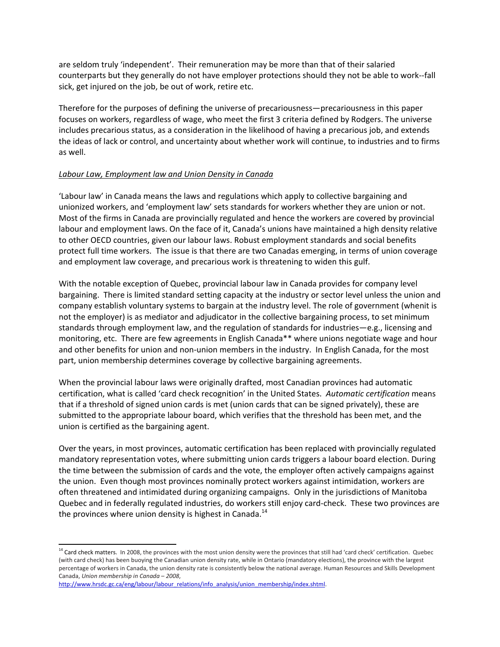are seldom truly 'independent'. Their remuneration may be more than that of their salaried counterparts but they generally do not have employer protections should they not be able to work‐‐fall sick, get injured on the job, be out of work, retire etc.

Therefore for the purposes of defining the universe of precariousness—precariousness in this paper focuses on workers, regardless of wage, who meet the first 3 criteria defined by Rodgers. The universe includes precarious status, as a consideration in the likelihood of having a precarious job, and extends the ideas of lack or control, and uncertainty about whether work will continue, to industries and to firms as well.

## *Labour Law, Employment law and Union Density in Canada*

'Labour law' in Canada means the laws and regulations which apply to collective bargaining and unionized workers, and 'employment law' sets standards for workers whether they are union or not. Most of the firms in Canada are provincially regulated and hence the workers are covered by provincial labour and employment laws. On the face of it, Canada's unions have maintained a high density relative to other OECD countries, given our labour laws. Robust employment standards and social benefits protect full time workers. The issue is that there are two Canadas emerging, in terms of union coverage and employment law coverage, and precarious work is threatening to widen this gulf.

With the notable exception of Quebec, provincial labour law in Canada provides for company level bargaining. There is limited standard setting capacity at the industry or sector level unless the union and company establish voluntary systems to bargain at the industry level. The role of government (whenit is not the employer) is as mediator and adjudicator in the collective bargaining process, to set minimum standards through employment law, and the regulation of standards for industries—e.g., licensing and monitoring, etc. There are few agreements in English Canada\*\* where unions negotiate wage and hour and other benefits for union and non-union members in the industry. In English Canada, for the most part, union membership determines coverage by collective bargaining agreements.

When the provincial labour laws were originally drafted, most Canadian provinces had automatic certification, what is called 'card check recognition' in the United States. *Automatic certification* means that if a threshold of signed union cards is met (union cards that can be signed privately), these are submitted to the appropriate labour board, which verifies that the threshold has been met, and the union is certified as the bargaining agent.

Over the years, in most provinces, automatic certification has been replaced with provincially regulated mandatory representation votes, where submitting union cards triggers a labour board election. During the time between the submission of cards and the vote, the employer often actively campaigns against the union. Even though most provinces nominally protect workers against intimidation, workers are often threatened and intimidated during organizing campaigns. Only in the jurisdictions of Manitoba Quebec and in federally regulated industries, do workers still enjoy card-check. These two provinces are the provinces where union density is highest in Canada.<sup>14</sup>

<sup>&</sup>lt;sup>14</sup> Card check matters. In 2008, the provinces with the most union density were the provinces that still had 'card check' certification. Quebec (with card check) has been buoying the Canadian union density rate, while in Ontario (mandatory elections), the province with the largest percentage of workers in Canada, the union density rate is consistently below the national average. Human Resources and Skills Development Canada, *Union membership in Canada – 2008*,

http://www.hrsdc.gc.ca/eng/labour/labour\_relations/info\_analysis/union\_membership/index.shtml.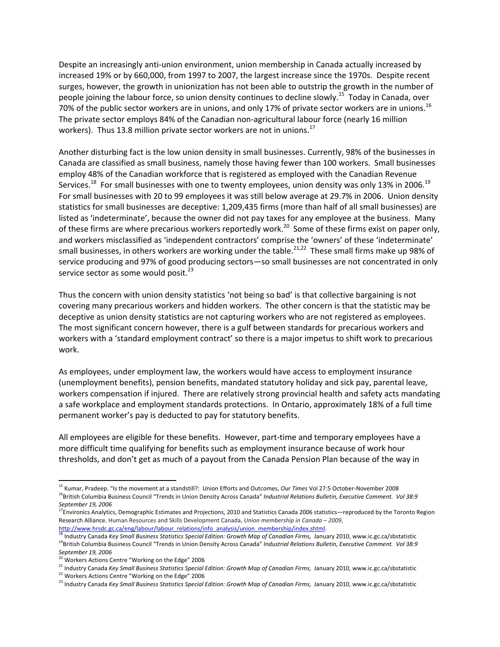Despite an increasingly anti‐union environment, union membership in Canada actually increased by increased 19% or by 660,000, from 1997 to 2007, the largest increase since the 1970s. Despite recent surges, however, the growth in unionization has not been able to outstrip the growth in the number of people joining the labour force, so union density continues to decline slowly.<sup>15</sup> Today in Canada, over 70% of the public sector workers are in unions, and only 17% of private sector workers are in unions.<sup>16</sup> The private sector employs 84% of the Canadian non-agricultural labour force (nearly 16 million workers). Thus 13.8 million private sector workers are not in unions.<sup>17</sup>

Another disturbing fact is the low union density in small businesses. Currently, 98% of the businesses in Canada are classified as small business, namely those having fewer than 100 workers. Small businesses employ 48% of the Canadian workforce that is registered as employed with the Canadian Revenue Services.<sup>18</sup> For small businesses with one to twenty employees, union density was only 13% in 2006.<sup>19</sup> For small businesses with 20 to 99 employees it was still below average at 29.7% in 2006. Union density statistics for small businesses are deceptive: 1,209,435 firms (more than half of all small businesses) are listed as 'indeterminate', because the owner did not pay taxes for any employee at the business. Many of these firms are where precarious workers reportedly work.<sup>20</sup> Some of these firms exist on paper only, and workers misclassified as 'independent contractors' comprise the 'owners' of these 'indeterminate' small businesses, in others workers are working under the table.<sup>21,22</sup> These small firms make up 98% of service producing and 97% of good producing sectors—so small businesses are not concentrated in only service sector as some would posit. $^{23}$ 

Thus the concern with union density statistics 'not being so bad' is that collective bargaining is not covering many precarious workers and hidden workers. The other concern is that the statistic may be deceptive as union density statistics are not capturing workers who are not registered as employees. The most significant concern however, there is a gulf between standards for precarious workers and workers with a 'standard employment contract' so there is a major impetus to shift work to precarious work.

As employees, under employment law, the workers would have access to employment insurance (unemployment benefits), pension benefits, mandated statutory holiday and sick pay, parental leave, workers compensation if injured. There are relatively strong provincial health and safety acts mandating a safe workplace and employment standards protections. In Ontario, approximately 18% of a full time permanent worker's pay is deducted to pay for statutory benefits.

All employees are eligible for these benefits. However, part‐time and temporary employees have a more difficult time qualifying for benefits such as employment insurance because of work hour thresholds, and don't get as much of a payout from the Canada Pension Plan because of the way in

<sup>21</sup> Industry Canada Key Small Business Statistics Special Edition: Growth Map of Canadian Firms, January 2010, www.ic.gc.ca/sbstatistic <sup>22</sup> Workers Actions Centre "Working on the Edge" 2006

<sup>15</sup> Kumar, Pradeep. "Is the movement at a standstill?: Union Efforts and Outcomes, *Our Times* Vol 27:5 October‐November 2008 <sup>16</sup>British Columbia Business Council "Trends in Union Density Across Canada" *Industrial Relations Bulletin, Executive Comment. Vol 38:9*<br>September 19, 2006

<sup>&</sup>lt;sup>17</sup>Environics Analytics, Demographic Estimates and Projections, 2010 and Statistics Canada 2006 statistics—reproduced by the Toronto Region Research Alliance. Human Resources and Skills Development Canada, *Union membership in Canada – 2009*, http://www.hrsdc.gc.ca/eng/labour/labour\_relations/info\_analysis/union\_membership/index.shtml.

<sup>&</sup>lt;sup>18</sup> Industry Canada *Key Small Business Statistics Special Edition: Growth Map of Canadian Firms, January 2010, www.ic.gc.ca/sbstatistic<br><sup>19</sup>British Columbia Business Council "Trends in Union Density Across Canada" <i>Indus September 19, 2006*

<sup>&</sup>lt;sup>20</sup> Workers Actions Centre "Working on the Edge" 2006

<sup>23</sup> Industry Canada *Key Small Business Statistics Special Edition: Growth Map of Canadian Firms,* January 2010, www.ic.gc.ca/sbstatistic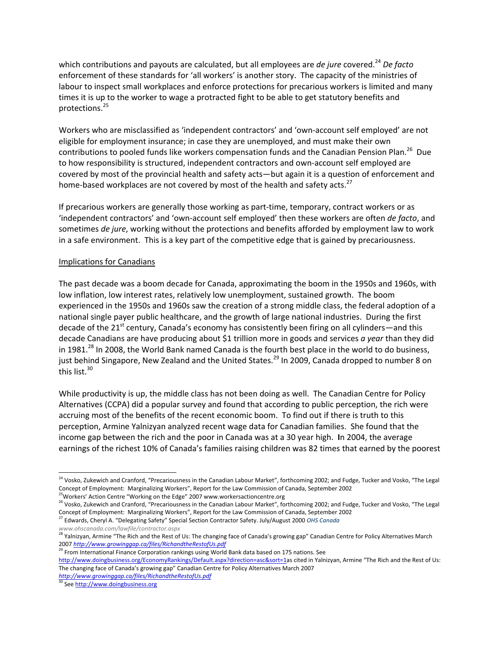which contributions and payouts are calculated, but all employees are *de jure* covered.<sup>24</sup> *De facto* enforcement of these standards for 'all workers' is another story. The capacity of the ministries of labour to inspect small workplaces and enforce protections for precarious workers is limited and many times it is up to the worker to wage a protracted fight to be able to get statutory benefits and protections.<sup>25</sup>

Workers who are misclassified as 'independent contractors' and 'own‐account self employed' are not eligible for employment insurance; in case they are unemployed, and must make their own contributions to pooled funds like workers compensation funds and the Canadian Pension Plan.<sup>26</sup> Due to how responsibility is structured, independent contractors and own‐account self employed are covered by most of the provincial health and safety acts—but again it is a question of enforcement and home-based workplaces are not covered by most of the health and safety acts.<sup>27</sup>

If precarious workers are generally those working as part‐time, temporary, contract workers or as 'independent contractors' and 'own‐account self employed' then these workers are often *de facto*, and sometimes *de jure*, working without the protections and benefits afforded by employment law to work in a safe environment. This is a key part of the competitive edge that is gained by precariousness.

## Implications for Canadians

The past decade was a boom decade for Canada, approximating the boom in the 1950s and 1960s, with low inflation, low interest rates, relatively low unemployment, sustained growth. The boom experienced in the 1950s and 1960s saw the creation of a strong middle class, the federal adoption of a national single payer public healthcare, and the growth of large national industries. During the first decade of the 21<sup>st</sup> century, Canada's economy has consistently been firing on all cylinders—and this decade Canadians are have producing about \$1 trillion more in goods and services *a year* than they did in 1981.<sup>28</sup> In 2008, the World Bank named Canada is the fourth best place in the world to do business, just behind Singapore, New Zealand and the United States.<sup>29</sup> In 2009, Canada dropped to number 8 on this list. $30$ 

While productivity is up, the middle class has not been doing as well. The Canadian Centre for Policy Alternatives (CCPA) did a popular survey and found that according to public perception, the rich were accruing most of the benefits of the recent economic boom. To find out if there is truth to this perception, Armine Yalnizyan analyzed recent wage data for Canadian families. She found that the income gap between the rich and the poor in Canada was at a 30 year high. **I**n 2004, the average earnings of the richest 10% of Canada's families raising children was 82 times that earned by the poorest

<sup>29</sup> From International Finance Corporation rankings using World Bank data based on 175 nations. See

<sup>&</sup>lt;sup>24</sup> Vosko, Zukewich and Cranford, "Precariousness in the Canadian Labour Market", forthcoming 2002; and Fudge, Tucker and Vosko, "The Legal Concept of Employment: Marginalizing Workers", Report for the Law Commission of Canada, September 2002 <sup>5</sup>Workers' Action Centre "Working on the Edge" 2007 www.workersactioncentre.org

<sup>&</sup>lt;sup>26</sup> Vosko, Zukewich and Cranford, "Precariousness in the Canadian Labour Market", forthcoming 2002; and Fudge, Tucker and Vosko, "The Legal Concept of Employment: Marginalizing Workers", Report for the Law Commission of Canada, September 2002

<sup>27</sup> Edwards, Cheryl A. "Delegating Safety" Special Section Contractor Safety. July/August 2000 *OHS Canada www.ohscanada.com/lawfile/contractor.aspx*

<sup>&</sup>lt;sup>28</sup> Yalnizyan, Armine "The Rich and the Rest of Us: The changing face of Canada's growing gap" Canadian Centre for Policy Alternatives March 2007 *http://www.growinggap.ca/files/RichandtheRestofUs.pdf*

http://www.doingbusiness.org/EconomyRankings/Default.aspx?direction=asc&sort=1as cited in Yalnizyan, Armine "The Rich and the Rest of Us: The changing face of Canada's growing gap" Canadian Centre for Policy Alternatives March 2007 *http://www.growinggap.ca/files/RichandtheRestofUs.pdf*

<sup>&</sup>lt;sup>3</sup> See http://www.doingbusiness.org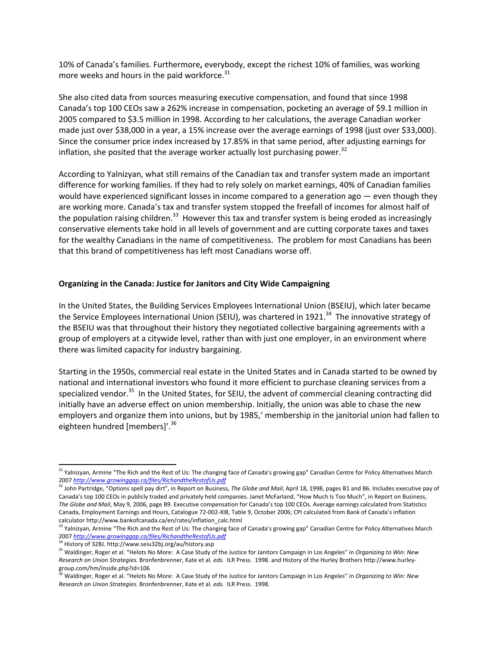10% of Canada's families. Furthermore**,** everybody, except the richest 10% of families, was working more weeks and hours in the paid workforce.<sup>31</sup>

She also cited data from sources measuring executive compensation, and found that since 1998 Canada's top 100 CEOs saw a 262% increase in compensation, pocketing an average of \$9.1 million in 2005 compared to \$3.5 million in 1998. According to her calculations, the average Canadian worker made just over \$38,000 in a year, a 15% increase over the average earnings of 1998 (just over \$33,000). Since the consumer price index increased by 17.85% in that same period, after adjusting earnings for inflation, she posited that the average worker actually lost purchasing power.<sup>32</sup>

According to Yalnizyan, what still remains of the Canadian tax and transfer system made an important difference for working families. If they had to rely solely on market earnings, 40% of Canadian families would have experienced significant losses in income compared to a generation ago — even though they are working more. Canada's tax and transfer system stopped the freefall of incomes for almost half of the population raising children.<sup>33</sup> However this tax and transfer system is being eroded as increasingly conservative elements take hold in all levels of government and are cutting corporate taxes and taxes for the wealthy Canadians in the name of competitiveness. The problem for most Canadians has been that this brand of competitiveness has left most Canadians worse off.

#### **Organizing in the Canada: Justice for Janitors and City Wide Campaigning**

In the United States, the Building Services Employees International Union (BSEIU), which later became the Service Employees International Union (SEIU), was chartered in 1921.<sup>34</sup> The innovative strategy of the BSEIU was that throughout their history they negotiated collective bargaining agreements with a group of employers at a citywide level, rather than with just one employer, in an environment where there was limited capacity for industry bargaining.

Starting in the 1950s, commercial real estate in the United States and in Canada started to be owned by national and international investors who found it more efficient to purchase cleaning services from a specialized vendor.<sup>35</sup> In the United States, for SEIU, the advent of commercial cleaning contracting did initially have an adverse effect on union membership. Initially, the union was able to chase the new employers and organize them into unions, but by 1985,' membership in the janitorial union had fallen to eighteen hundred [members]'.<sup>36</sup>

<sup>&</sup>lt;sup>31</sup> Yalnizyan, Armine "The Rich and the Rest of Us: The changing face of Canada's growing gap" Canadian Centre for Policy Alternatives March 2007 *http://www.growinggap.ca/files/RichandtheRestofUs.pdf*

<sup>32</sup> John Partridge, "Options spell pay dirt", in Report on Business, *The Globe and Mail*, April 18, 1998, pages B1 and B6. Includes executive pay of Canada's top 100 CEOs in publicly traded and privately held companies. Janet McFarland, "How Much Is Too Much", in Report on Business, *The Globe and Mail*, May 9, 2006, page B9. Executive compensation for Canada's top 100 CEOs. Average earnings calculated from Statistics Canada, Employment Earnings and Hours, Catalogue 72‐002‐XIB, Table 9, October 2006; CPI calculated from Bank of Canada's inflation calculator http://www.bankofcanada.ca/en/rates/inflation\_calc.html

<sup>&</sup>lt;sup>33</sup> Yalnizyan, Armine "The Rich and the Rest of Us: The changing face of Canada's growing gap" Canadian Centre for Policy Alternatives March <sup>2007</sup> *http://www.growinggap.ca/files/RichandtheRestofUs.pdf* <sup>34</sup> History of 32BJ. http://www.seiu32bj.org/au/history.asp

<sup>35</sup> Waldinger, Roger et al. "Helots No More: A Case Study of the Justice for Janitors Campaign in Los Angeles" in *Organizing to Win: New Research on Union Strategies.* Bronfenbrenner, Kate et al. *eds.* ILR Press. 1998. and History of the Hurley Brothers http://www.hurley‐ group.com/hm/inside.php?id=106<br><sup>36</sup> Waldinger, Roger et al. "Helots No More: A Case Study of the Justice for Janitors Campaign in Los Angeles" in *Organizing to Win: New* 

*Research on Union Strategies.* Bronfenbrenner, Kate et al. *eds.* ILR Press. 1998.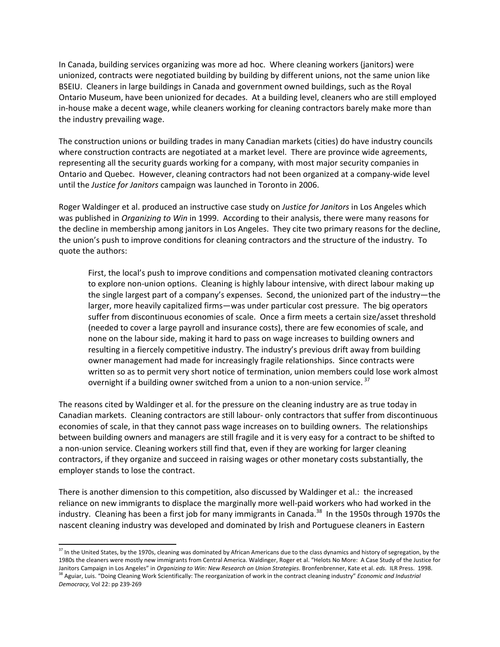In Canada, building services organizing was more ad hoc. Where cleaning workers (janitors) were unionized, contracts were negotiated building by building by different unions, not the same union like BSEIU. Cleaners in large buildings in Canada and government owned buildings, such as the Royal Ontario Museum, have been unionized for decades. At a building level, cleaners who are still employed in-house make a decent wage, while cleaners working for cleaning contractors barely make more than the industry prevailing wage.

The construction unions or building trades in many Canadian markets (cities) do have industry councils where construction contracts are negotiated at a market level. There are province wide agreements, representing all the security guards working for a company, with most major security companies in Ontario and Quebec. However, cleaning contractors had not been organized at a company‐wide level until the *Justice for Janitors* campaign was launched in Toronto in 2006.

Roger Waldinger et al. produced an instructive case study on *Justice for Janitors* in Los Angeles which was published in *Organizing to Win* in 1999. According to their analysis, there were many reasons for the decline in membership among janitors in Los Angeles. They cite two primary reasons for the decline, the union's push to improve conditions for cleaning contractors and the structure of the industry. To quote the authors:

First, the local's push to improve conditions and compensation motivated cleaning contractors to explore non‐union options. Cleaning is highly labour intensive, with direct labour making up the single largest part of a company's expenses. Second, the unionized part of the industry—the larger, more heavily capitalized firms—was under particular cost pressure. The big operators suffer from discontinuous economies of scale. Once a firm meets a certain size/asset threshold (needed to cover a large payroll and insurance costs), there are few economies of scale, and none on the labour side, making it hard to pass on wage increases to building owners and resulting in a fiercely competitive industry. The industry's previous drift away from building owner management had made for increasingly fragile relationships. Since contracts were written so as to permit very short notice of termination, union members could lose work almost overnight if a building owner switched from a union to a non-union service.  $37$ 

The reasons cited by Waldinger et al. for the pressure on the cleaning industry are as true today in Canadian markets. Cleaning contractors are still labour‐ only contractors that suffer from discontinuous economies of scale, in that they cannot pass wage increases on to building owners. The relationships between building owners and managers are still fragile and it is very easy for a contract to be shifted to a non-union service. Cleaning workers still find that, even if they are working for larger cleaning contractors, if they organize and succeed in raising wages or other monetary costs substantially, the employer stands to lose the contract.

There is another dimension to this competition, also discussed by Waldinger et al.: the increased reliance on new immigrants to displace the marginally more well-paid workers who had worked in the industry. Cleaning has been a first job for many immigrants in Canada.<sup>38</sup> In the 1950s through 1970s the nascent cleaning industry was developed and dominated by Irish and Portuguese cleaners in Eastern

 $37$  In the United States, by the 1970s, cleaning was dominated by African Americans due to the class dynamics and history of segregation, by the 1980s the cleaners were mostly new immigrants from Central America. Waldinger, Roger et al. "Helots No More: A Case Study of the Justice for Janitors Campaign in Los Angeles" in *Organizing to Win: New Research on Union Strategies*. Bronfenbrenner, Kate et al. *eds.* ILR Press. 1998.<br><sup>38</sup> Aguiar, Luis. "Doing Cleaning Work Scientifically: The reorganization of *Democracy,* Vol 22: pp 239‐269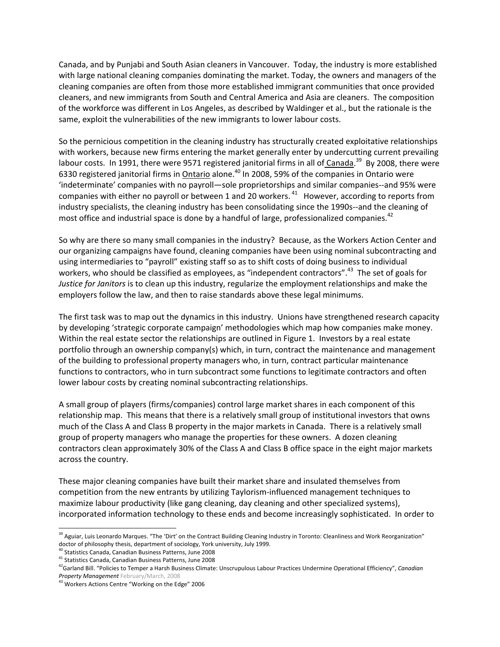Canada, and by Punjabi and South Asian cleaners in Vancouver. Today, the industry is more established with large national cleaning companies dominating the market. Today, the owners and managers of the cleaning companies are often from those more established immigrant communities that once provided cleaners, and new immigrants from South and Central America and Asia are cleaners. The composition of the workforce was different in Los Angeles, as described by Waldinger et al., but the rationale is the same, exploit the vulnerabilities of the new immigrants to lower labour costs.

So the pernicious competition in the cleaning industry has structurally created exploitative relationships with workers, because new firms entering the market generally enter by undercutting current prevailing labour costs. In 1991, there were 9571 registered janitorial firms in all of Canada.<sup>39</sup> By 2008, there were 6330 registered janitorial firms in Ontario alone.<sup>40</sup> In 2008, 59% of the companies in Ontario were 'indeterminate' companies with no payroll—sole proprietorships and similar companies‐‐and 95% were companies with either no payroll or between 1 and 20 workers.  $41$  However, according to reports from industry specialists, the cleaning industry has been consolidating since the 1990s--and the cleaning of most office and industrial space is done by a handful of large, professionalized companies.<sup>42</sup>

So why are there so many small companies in the industry? Because, as the Workers Action Center and our organizing campaigns have found, cleaning companies have been using nominal subcontracting and using intermediaries to "payroll" existing staff so as to shift costs of doing business to individual workers, who should be classified as employees, as "independent contractors".<sup>43</sup> The set of goals for *Justice for Janitors* is to clean up this industry, regularize the employment relationships and make the employers follow the law, and then to raise standards above these legal minimums.

The first task was to map out the dynamics in this industry. Unions have strengthened research capacity by developing 'strategic corporate campaign' methodologies which map how companies make money. Within the real estate sector the relationships are outlined in Figure 1. Investors by a real estate portfolio through an ownership company(s) which, in turn, contract the maintenance and management of the building to professional property managers who, in turn, contract particular maintenance functions to contractors, who in turn subcontract some functions to legitimate contractors and often lower labour costs by creating nominal subcontracting relationships.

A small group of players (firms/companies) control large market shares in each component of this relationship map. This means that there is a relatively small group of institutional investors that owns much of the Class A and Class B property in the major markets in Canada. There is a relatively small group of property managers who manage the properties for these owners. A dozen cleaning contractors clean approximately 30% of the Class A and Class B office space in the eight major markets across the country.

These major cleaning companies have built their market share and insulated themselves from competition from the new entrants by utilizing Taylorism‐influenced management techniques to maximize labour productivity (like gang cleaning, day cleaning and other specialized systems), incorporated information technology to these ends and become increasingly sophisticated. In order to

<sup>&</sup>lt;sup>39</sup> Aguiar, Luis Leonardo Marques. "The 'Dirt' on the Contract Building Cleaning Industry in Toronto: Cleanliness and Work Reorganization" doctor of philosophy thesis, department of sociology, York university, July 1999.

<sup>40</sup> Statistics Canada, Canadian Business Patterns, June 2008

<sup>41</sup> Statistics Canada, Canadian Business Patterns, June 2008

<sup>42</sup>Garland Bill. "Policies to Temper a Harsh Business Climate: Unscrupulous Labour Practices Undermine Operational Efficiency", *Canadian Property Management* February/March, 2008

<sup>43</sup> Workers Actions Centre "Working on the Edge" 2006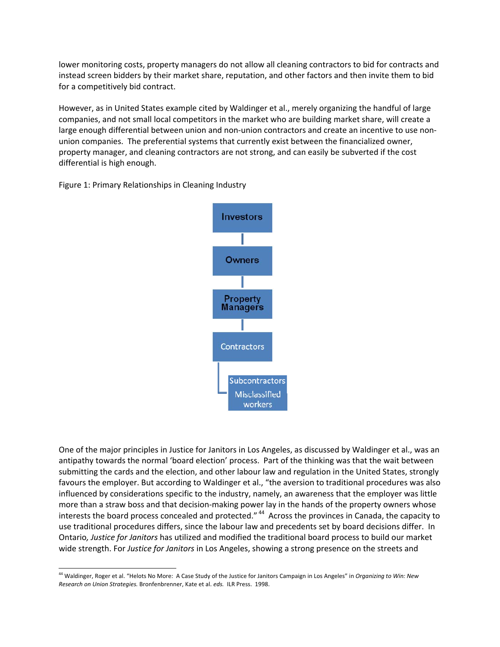lower monitoring costs, property managers do not allow all cleaning contractors to bid for contracts and instead screen bidders by their market share, reputation, and other factors and then invite them to bid for a competitively bid contract.

However, as in United States example cited by Waldinger et al., merely organizing the handful of large companies, and not small local competitors in the market who are building market share, will create a large enough differential between union and non-union contractors and create an incentive to use nonunion companies. The preferential systems that currently exist between the financialized owner, property manager, and cleaning contractors are not strong, and can easily be subverted if the cost differential is high enough.

Figure 1: Primary Relationships in Cleaning Industry



One of the major principles in Justice for Janitors in Los Angeles, as discussed by Waldinger et al., was an antipathy towards the normal 'board election' process. Part of the thinking was that the wait between submitting the cards and the election, and other labour law and regulation in the United States, strongly favours the employer. But according to Waldinger et al., "the aversion to traditional procedures was also influenced by considerations specific to the industry, namely, an awareness that the employer was little more than a straw boss and that decision-making power lay in the hands of the property owners whose interests the board process concealed and protected."<sup>44</sup> Across the provinces in Canada, the capacity to use traditional procedures differs, since the labour law and precedents set by board decisions differ. In Ontario*, Justice for Janitors* has utilized and modified the traditional board process to build our market wide strength. For *Justice for Janitors* in Los Angeles, showing a strong presence on the streets and

<sup>44</sup> Waldinger, Roger et al. "Helots No More: A Case Study of the Justice for Janitors Campaign in Los Angeles" in *Organizing to Win: New Research on Union Strategies.* Bronfenbrenner, Kate et al. *eds.* ILR Press. 1998.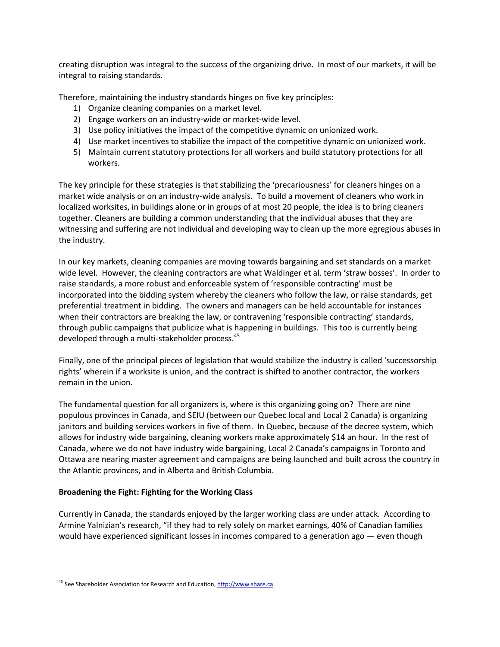creating disruption was integral to the success of the organizing drive. In most of our markets, it will be integral to raising standards.

Therefore, maintaining the industry standards hinges on five key principles:

- 1) Organize cleaning companies on a market level.
- 2) Engage workers on an industry-wide or market-wide level.
- 3) Use policy initiatives the impact of the competitive dynamic on unionized work.
- 4) Use market incentives to stabilize the impact of the competitive dynamic on unionized work.
- 5) Maintain current statutory protections for all workers and build statutory protections for all workers.

The key principle for these strategies is that stabilizing the 'precariousness' for cleaners hinges on a market wide analysis or on an industry‐wide analysis. To build a movement of cleaners who work in localized worksites, in buildings alone or in groups of at most 20 people, the idea is to bring cleaners together. Cleaners are building a common understanding that the individual abuses that they are witnessing and suffering are not individual and developing way to clean up the more egregious abuses in the industry.

In our key markets, cleaning companies are moving towards bargaining and set standards on a market wide level. However, the cleaning contractors are what Waldinger et al. term 'straw bosses'. In order to raise standards, a more robust and enforceable system of 'responsible contracting' must be incorporated into the bidding system whereby the cleaners who follow the law, or raise standards, get preferential treatment in bidding. The owners and managers can be held accountable for instances when their contractors are breaking the law, or contravening 'responsible contracting' standards, through public campaigns that publicize what is happening in buildings. This too is currently being developed through a multi-stakeholder process.<sup>45</sup>

Finally, one of the principal pieces of legislation that would stabilize the industry is called 'successorship rights' wherein if a worksite is union, and the contract is shifted to another contractor, the workers remain in the union.

The fundamental question for all organizers is, where is this organizing going on? There are nine populous provinces in Canada, and SEIU (between our Quebec local and Local 2 Canada) is organizing janitors and building services workers in five of them. In Quebec, because of the decree system, which allows for industry wide bargaining, cleaning workers make approximately \$14 an hour. In the rest of Canada, where we do not have industry wide bargaining, Local 2 Canada's campaigns in Toronto and Ottawa are nearing master agreement and campaigns are being launched and built across the country in the Atlantic provinces, and in Alberta and British Columbia.

## **Broadening the Fight: Fighting for the Working Class**

Currently in Canada, the standards enjoyed by the larger working class are under attack. According to Armine Yalnizian's research, "if they had to rely solely on market earnings, 40% of Canadian families would have experienced significant losses in incomes compared to a generation ago  $-$  even though

 <sup>45</sup> See Shareholder Association for Research and Education, http://www.share.ca.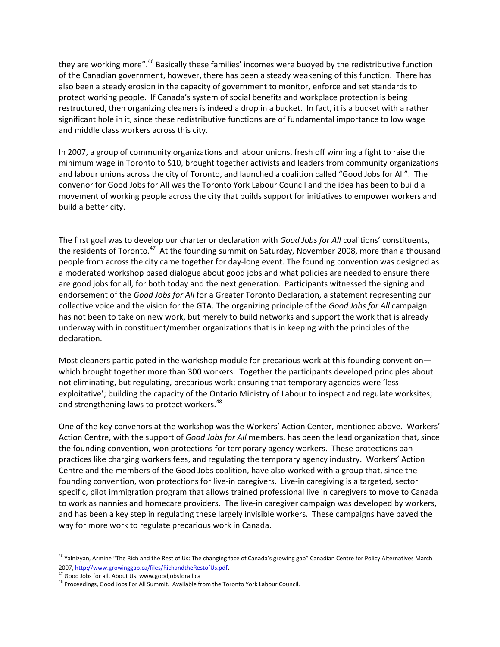they are working more".<sup>46</sup> Basically these families' incomes were buoyed by the redistributive function of the Canadian government, however, there has been a steady weakening of this function. There has also been a steady erosion in the capacity of government to monitor, enforce and set standards to protect working people. If Canada's system of social benefits and workplace protection is being restructured, then organizing cleaners is indeed a drop in a bucket. In fact, it is a bucket with a rather significant hole in it, since these redistributive functions are of fundamental importance to low wage and middle class workers across this city.

In 2007, a group of community organizations and labour unions, fresh off winning a fight to raise the minimum wage in Toronto to \$10, brought together activists and leaders from community organizations and labour unions across the city of Toronto, and launched a coalition called "Good Jobs for All". The convenor for Good Jobs for All was the Toronto York Labour Council and the idea has been to build a movement of working people across the city that builds support for initiatives to empower workers and build a better city.

The first goal was to develop our charter or declaration with *Good Jobs for All* coalitions' constituents, the residents of Toronto.<sup>47</sup> At the founding summit on Saturday, November 2008, more than a thousand people from across the city came together for day‐long event. The founding convention was designed as a moderated workshop based dialogue about good jobs and what policies are needed to ensure there are good jobs for all, for both today and the next generation. Participants witnessed the signing and endorsement of the *Good Jobs for All* for a Greater Toronto Declaration, a statement representing our collective voice and the vision for the GTA. The organizing principle of the *Good Jobs for All* campaign has not been to take on new work, but merely to build networks and support the work that is already underway with in constituent/member organizations that is in keeping with the principles of the declaration.

Most cleaners participated in the workshop module for precarious work at this founding convention which brought together more than 300 workers. Together the participants developed principles about not eliminating, but regulating, precarious work; ensuring that temporary agencies were 'less exploitative'; building the capacity of the Ontario Ministry of Labour to inspect and regulate worksites; and strengthening laws to protect workers.<sup>48</sup>

One of the key convenors at the workshop was the Workers' Action Center, mentioned above. Workers' Action Centre, with the support of *Good Jobs for All* members, has been the lead organization that, since the founding convention, won protections for temporary agency workers. These protections ban practices like charging workers fees, and regulating the temporary agency industry. Workers' Action Centre and the members of the Good Jobs coalition, have also worked with a group that, since the founding convention, won protections for live‐in caregivers. Live‐in caregiving is a targeted, sector specific, pilot immigration program that allows trained professional live in caregivers to move to Canada to work as nannies and homecare providers. The live-in caregiver campaign was developed by workers, and has been a key step in regulating these largely invisible workers. These campaigns have paved the way for more work to regulate precarious work in Canada.

<sup>&</sup>lt;sup>46</sup> Yalnizyan, Armine "The Rich and the Rest of Us: The changing face of Canada's growing gap" Canadian Centre for Policy Alternatives March 2007, http://www.growinggap.ca/files/RichandtheRestofUs.pdf.<br><sup>47</sup> Good Jobs for all, About Us. www.goodjobsforall.ca

<sup>48</sup> Proceedings, Good Jobs For All Summit. Available from the Toronto York Labour Council.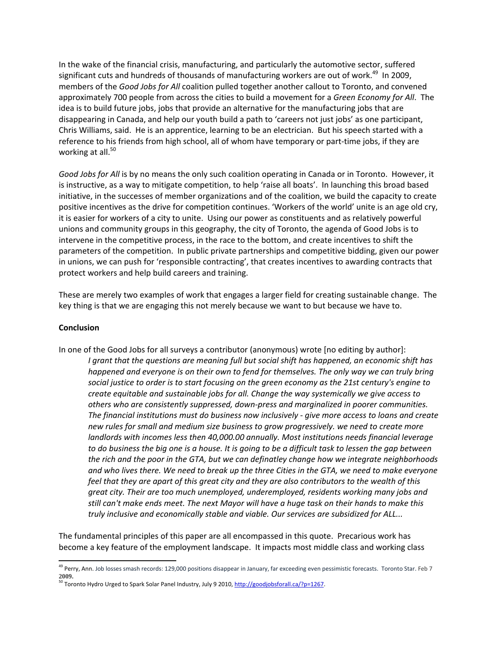In the wake of the financial crisis, manufacturing, and particularly the automotive sector, suffered significant cuts and hundreds of thousands of manufacturing workers are out of work.<sup>49</sup> In 2009, members of the *Good Jobs for All* coalition pulled together another callout to Toronto, and convened approximately 700 people from across the cities to build a movement for a *Green Economy for All*. The idea is to build future jobs, jobs that provide an alternative for the manufacturing jobs that are disappearing in Canada, and help our youth build a path to 'careers not just jobs' as one participant, Chris Williams, said. He is an apprentice, learning to be an electrician. But his speech started with a reference to his friends from high school, all of whom have temporary or part-time jobs, if they are working at all.<sup>50</sup>

*Good Jobs for All* is by no means the only such coalition operating in Canada or in Toronto. However, it is instructive, as a way to mitigate competition, to help 'raise all boats'. In launching this broad based initiative, in the successes of member organizations and of the coalition, we build the capacity to create positive incentives as the drive for competition continues. 'Workers of the world' unite is an age old cry, it is easier for workers of a city to unite. Using our power as constituents and as relatively powerful unions and community groups in this geography, the city of Toronto, the agenda of Good Jobs is to intervene in the competitive process, in the race to the bottom, and create incentives to shift the parameters of the competition. In public private partnerships and competitive bidding, given our power in unions, we can push for 'responsible contracting', that creates incentives to awarding contracts that protect workers and help build careers and training.

These are merely two examples of work that engages a larger field for creating sustainable change. The key thing is that we are engaging this not merely because we want to but because we have to.

#### **Conclusion**

In one of the Good Jobs for all surveys a contributor (anonymous) wrote [no editing by author]: *I grant that the questions are meaning full but social shift has happened, an economic shift has happened and everyone is on their own to fend for themselves. The only way we can truly bring social justice to order is to start focusing on the green economy as the 21st century's engine to create equitable and sustainable jobs for all. Change the way systemically we give access to others who are consistently suppressed, down‐press and marginalized in poorer communities. The financial institutions must do business now inclusively ‐ give more access to loans and create new rules for small and medium size business to grow progressively. we need to create more landlords with incomes less then 40,000.00 annually. Most institutions needs financial leverage* to do business the big one is a house. It is going to be a difficult task to lessen the gap between *the rich and the poor in the GTA, but we can definatley change how we integrate neighborhoods* and who lives there. We need to break up the three Cities in the GTA, we need to make everyone feel that they are apart of this great city and they are also contributors to the wealth of this *great city. Their are too much unemployed, underemployed, residents working many jobs and* still can't make ends meet. The next Mayor will have a huge task on their hands to make this *truly inclusive and economically stable and viable. Our services are subsidized for ALL...*

The fundamental principles of this paper are all encompassed in this quote. Precarious work has become a key feature of the employment landscape. It impacts most middle class and working class

<sup>&</sup>lt;sup>49</sup> Perry, Ann. Job losses smash records: 129,000 positions disappear in January, far exceeding even pessimistic forecasts. Toronto Star. Feb 7 **2009.**

<sup>&</sup>lt;sup>50</sup> Toronto Hydro Urged to Spark Solar Panel Industry, July 9 2010, http://goodjobsforall.ca/?p=1267.